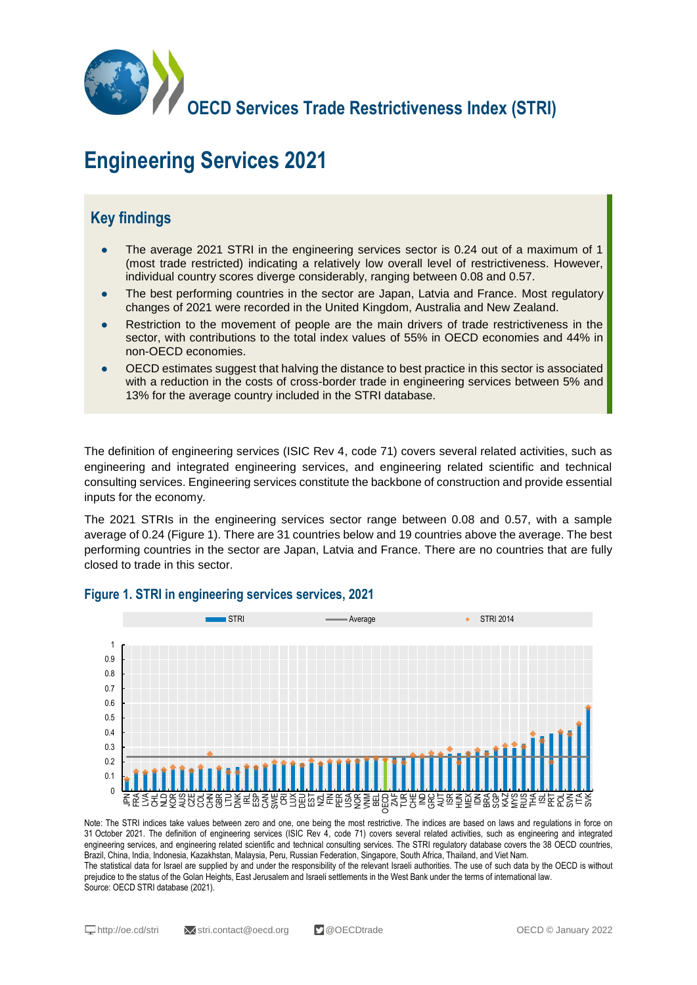

# **Engineering Services 2021**

## **Key findings**

- The average 2021 STRI in the engineering services sector is 0.24 out of a maximum of 1 (most trade restricted) indicating a relatively low overall level of restrictiveness. However, individual country scores diverge considerably, ranging between 0.08 and 0.57.
- The best performing countries in the sector are Japan, Latvia and France. Most regulatory changes of 2021 were recorded in the United Kingdom, Australia and New Zealand.
- Restriction to the movement of people are the main drivers of trade restrictiveness in the sector, with contributions to the total index values of 55% in OECD economies and 44% in non-OECD economies.
- OECD estimates suggest that halving the distance to best practice in this sector is associated with a reduction in the costs of cross-border trade in engineering services between 5% and 13% for the average country included in the STRI database.

The definition of engineering services (ISIC Rev 4, code 71) covers several related activities, such as engineering and integrated engineering services, and engineering related scientific and technical consulting services. Engineering services constitute the backbone of construction and provide essential inputs for the economy.

The 2021 STRIs in the engineering services sector range between 0.08 and 0.57, with a sample average of 0.24 (Figure 1). There are 31 countries below and 19 countries above the average. The best performing countries in the sector are Japan, Latvia and France. There are no countries that are fully closed to trade in this sector.



#### **Figure 1. STRI in engineering services services, 2021**

Note: The STRI indices take values between zero and one, one being the most restrictive. The indices are based on laws and regulations in force on 31 October 2021. The definition of engineering services (ISIC Rev 4, code 71) covers several related activities, such as engineering and integrated engineering services, and engineering related scientific and technical consulting services. The STRI regulatory database covers the 38 OECD countries, Brazil, China, India, Indonesia, Kazakhstan, Malaysia, Peru, Russian Federation, Singapore, South Africa, Thailand, and Viet Nam. The statistical data for Israel are supplied by and under the responsibility of the relevant Israeli authorities. The use of such data by the OECD is without prejudice to the status of the Golan Heights, East Jerusalem and Israeli settlements in the West Bank under the terms of international law. Source: OECD STRI database (2021).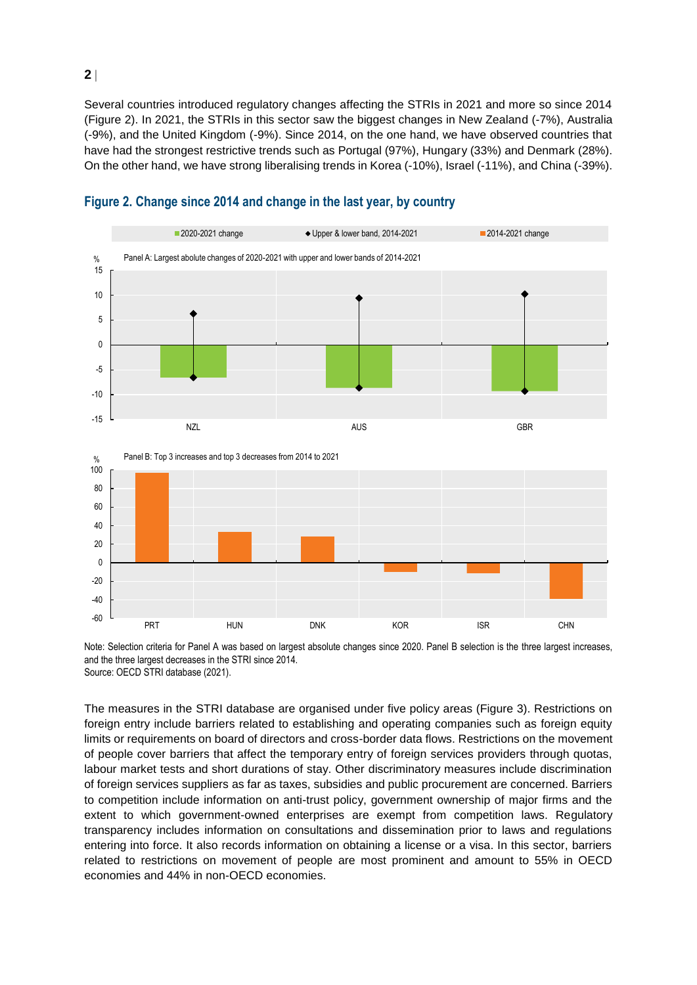Several countries introduced regulatory changes affecting the STRIs in 2021 and more so since 2014 (Figure 2). In 2021, the STRIs in this sector saw the biggest changes in New Zealand (-7%), Australia (-9%), and the United Kingdom (-9%). Since 2014, on the one hand, we have observed countries that have had the strongest restrictive trends such as Portugal (97%), Hungary (33%) and Denmark (28%). On the other hand, we have strong liberalising trends in Korea (-10%), Israel (-11%), and China (-39%).



#### **Figure 2. Change since 2014 and change in the last year, by country**

Note: Selection criteria for Panel A was based on largest absolute changes since 2020. Panel B selection is the three largest increases, and the three largest decreases in the STRI since 2014. Source: OECD STRI database (2021).

The measures in the STRI database are organised under five policy areas (Figure 3). Restrictions on foreign entry include barriers related to establishing and operating companies such as foreign equity limits or requirements on board of directors and cross-border data flows. Restrictions on the movement of people cover barriers that affect the temporary entry of foreign services providers through quotas, labour market tests and short durations of stay. Other discriminatory measures include discrimination of foreign services suppliers as far as taxes, subsidies and public procurement are concerned. Barriers to competition include information on anti-trust policy, government ownership of major firms and the extent to which government-owned enterprises are exempt from competition laws. Regulatory transparency includes information on consultations and dissemination prior to laws and regulations entering into force. It also records information on obtaining a license or a visa. In this sector, barriers related to restrictions on movement of people are most prominent and amount to 55% in OECD economies and 44% in non-OECD economies.

**2**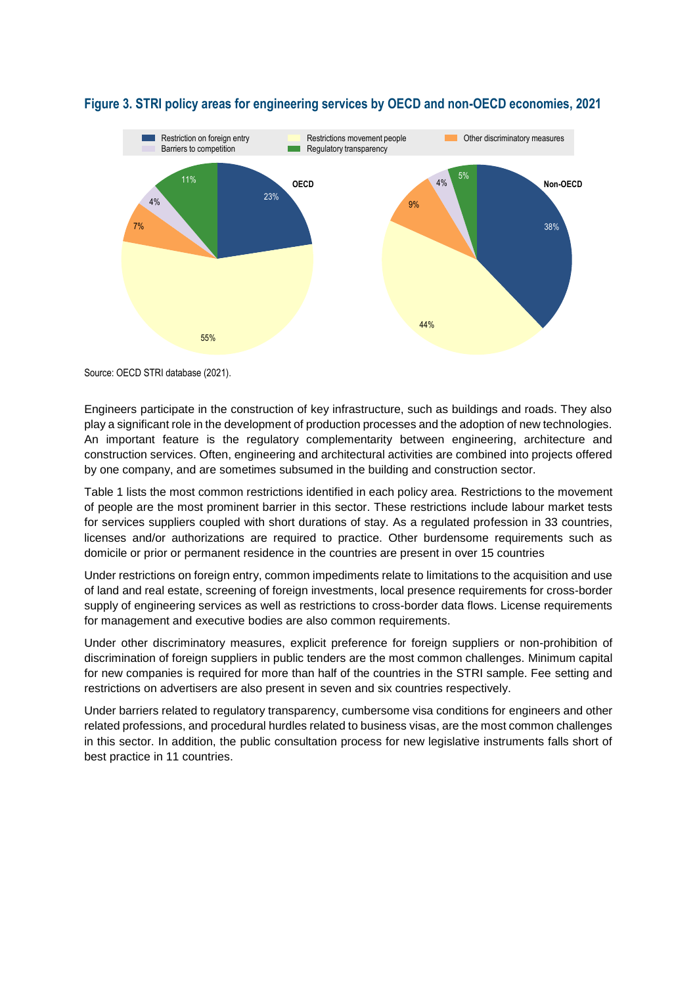

#### **Figure 3. STRI policy areas for engineering services by OECD and non-OECD economies, 2021**

Source: OECD STRI database (2021).

Engineers participate in the construction of key infrastructure, such as buildings and roads. They also play a significant role in the development of production processes and the adoption of new technologies. An important feature is the regulatory complementarity between engineering, architecture and construction services. Often, engineering and architectural activities are combined into projects offered by one company, and are sometimes subsumed in the building and construction sector.

Table 1 lists the most common restrictions identified in each policy area. Restrictions to the movement of people are the most prominent barrier in this sector. These restrictions include labour market tests for services suppliers coupled with short durations of stay. As a regulated profession in 33 countries, licenses and/or authorizations are required to practice. Other burdensome requirements such as domicile or prior or permanent residence in the countries are present in over 15 countries

Under restrictions on foreign entry, common impediments relate to limitations to the acquisition and use of land and real estate, screening of foreign investments, local presence requirements for cross-border supply of engineering services as well as restrictions to cross-border data flows. License requirements for management and executive bodies are also common requirements.

Under other discriminatory measures, explicit preference for foreign suppliers or non-prohibition of discrimination of foreign suppliers in public tenders are the most common challenges. Minimum capital for new companies is required for more than half of the countries in the STRI sample. Fee setting and restrictions on advertisers are also present in seven and six countries respectively.

Under barriers related to regulatory transparency, cumbersome visa conditions for engineers and other related professions, and procedural hurdles related to business visas, are the most common challenges in this sector. In addition, the public consultation process for new legislative instruments falls short of best practice in 11 countries.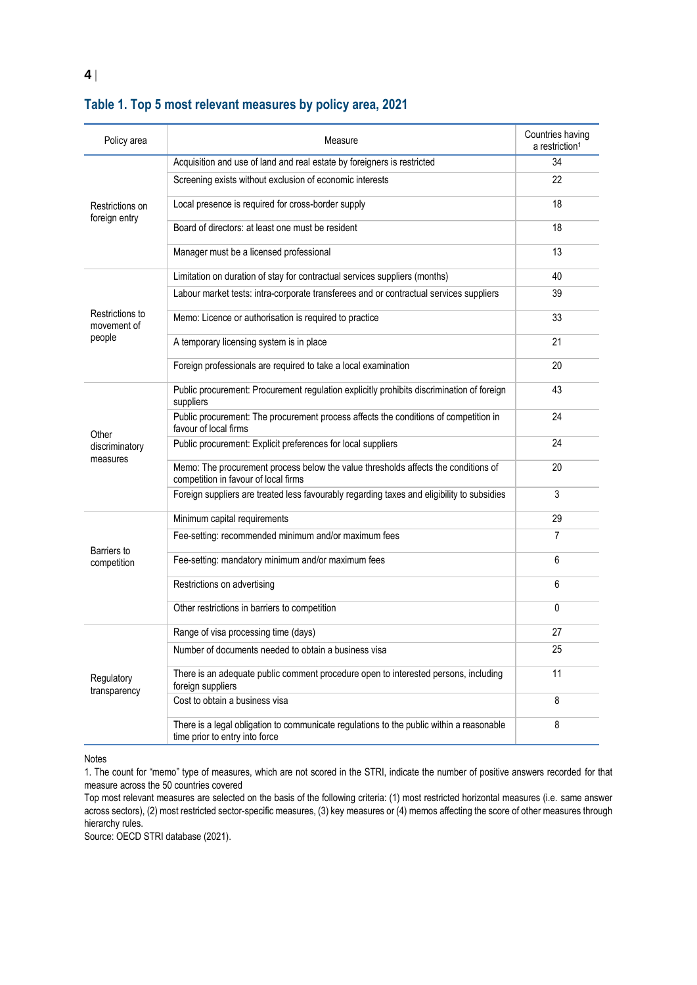| Policy area                              | Measure                                                                                                                    | Countries having<br>a restriction <sup>1</sup> |
|------------------------------------------|----------------------------------------------------------------------------------------------------------------------------|------------------------------------------------|
| Restrictions on<br>foreign entry         | Acquisition and use of land and real estate by foreigners is restricted                                                    | 34                                             |
|                                          | Screening exists without exclusion of economic interests                                                                   | 22                                             |
|                                          | Local presence is required for cross-border supply                                                                         | 18                                             |
|                                          | Board of directors: at least one must be resident                                                                          | 18                                             |
|                                          | Manager must be a licensed professional                                                                                    | 13                                             |
| Restrictions to<br>movement of<br>people | Limitation on duration of stay for contractual services suppliers (months)                                                 | 40                                             |
|                                          | Labour market tests: intra-corporate transferees and or contractual services suppliers                                     | 39                                             |
|                                          | Memo: Licence or authorisation is required to practice                                                                     | 33                                             |
|                                          | A temporary licensing system is in place                                                                                   | 21                                             |
|                                          | Foreign professionals are required to take a local examination                                                             | 20                                             |
| Other<br>discriminatory<br>measures      | Public procurement: Procurement regulation explicitly prohibits discrimination of foreign<br>suppliers                     | 43                                             |
|                                          | Public procurement: The procurement process affects the conditions of competition in<br>favour of local firms              | 24                                             |
|                                          | Public procurement: Explicit preferences for local suppliers                                                               | 24                                             |
|                                          | Memo: The procurement process below the value thresholds affects the conditions of<br>competition in favour of local firms | 20                                             |
|                                          | Foreign suppliers are treated less favourably regarding taxes and eligibility to subsidies                                 | 3                                              |
| Barriers to<br>competition               | Minimum capital requirements                                                                                               | 29                                             |
|                                          | Fee-setting: recommended minimum and/or maximum fees                                                                       | 7                                              |
|                                          | Fee-setting: mandatory minimum and/or maximum fees                                                                         | 6                                              |
|                                          | Restrictions on advertising                                                                                                | 6                                              |
|                                          | Other restrictions in barriers to competition                                                                              | 0                                              |
| Regulatory<br>transparency               | Range of visa processing time (days)                                                                                       | 27                                             |
|                                          | Number of documents needed to obtain a business visa                                                                       | 25                                             |
|                                          | There is an adequate public comment procedure open to interested persons, including<br>foreign suppliers                   | 11                                             |
|                                          | Cost to obtain a business visa                                                                                             | 8                                              |
|                                          | There is a legal obligation to communicate regulations to the public within a reasonable<br>time prior to entry into force | 8                                              |

### **Table 1. Top 5 most relevant measures by policy area, 2021**

Notes

1. The count for "memo" type of measures, which are not scored in the STRI, indicate the number of positive answers recorded for that measure across the 50 countries covered

Top most relevant measures are selected on the basis of the following criteria: (1) most restricted horizontal measures (i.e. same answer across sectors), (2) most restricted sector-specific measures, (3) key measures or (4) memos affecting the score of other measures through hierarchy rules.

Source: OECD STRI database (2021).